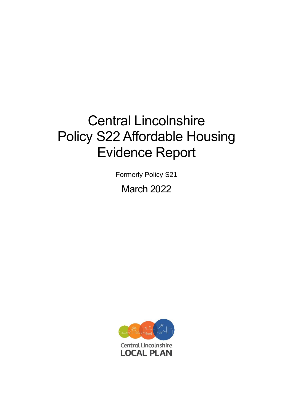# Central Lincolnshire Policy S22 Affordable Housing Evidence Report

Formerly Policy S21

March 2022

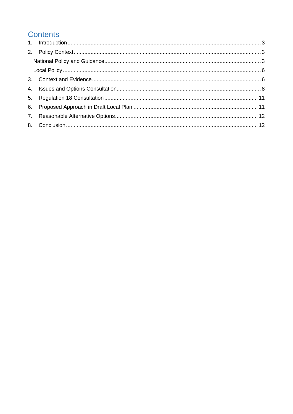# **Contents**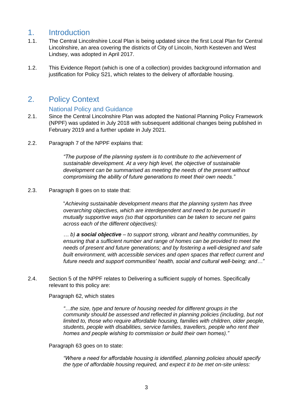# <span id="page-2-0"></span>1. Introduction

- 1.1. The Central Lincolnshire Local Plan is being updated since the first Local Plan for Central Lincolnshire, an area covering the districts of City of Lincoln, North Kesteven and West Lindsey, was adopted in April 2017.
- 1.2. This Evidence Report (which is one of a collection) provides background information and justification for Policy S21, which relates to the delivery of affordable housing.

# <span id="page-2-1"></span>2. Policy Context

#### National Policy and Guidance

- <span id="page-2-2"></span>2.1. Since the Central Lincolnshire Plan was adopted the National Planning Policy Framework (NPPF) was updated in July 2018 with subsequent additional changes being published in February 2019 and a further update in July 2021.
- 2.2. Paragraph 7 of the NPPF explains that:

*"The purpose of the planning system is to contribute to the achievement of sustainable development. At a very high level, the objective of sustainable development can be summarised as meeting the needs of the present without compromising the ability of future generations to meet their own needs."*

#### 2.3. Paragraph 8 goes on to state that:

"*Achieving sustainable development means that the planning system has three overarching objectives, which are interdependent and need to be pursued in mutually supportive ways (so that opportunities can be taken to secure net gains across each of the different objectives):*

*… b) a social objective – to support strong, vibrant and healthy communities, by ensuring that a sufficient number and range of homes can be provided to meet the needs of present and future generations; and by fostering a well-designed and safe built environment, with accessible services and open spaces that reflect current and future needs and support communities' health, social and cultural well-being; and…"*

2.4. Section 5 of the NPPF relates to Delivering a sufficient supply of homes. Specifically relevant to this policy are:

#### Paragraph 62, which states

*"…the size, type and tenure of housing needed for different groups in the community should be assessed and reflected in planning policies (including, but not limited to, those who require affordable housing, families with children, older people, students, people with disabilities, service families, travellers, people who rent their homes and people wishing to commission or build their own homes)."*

#### Paragraph 63 goes on to state:

*"Where a need for affordable housing is identified, planning policies should specify the type of affordable housing required, and expect it to be met on-site unless:*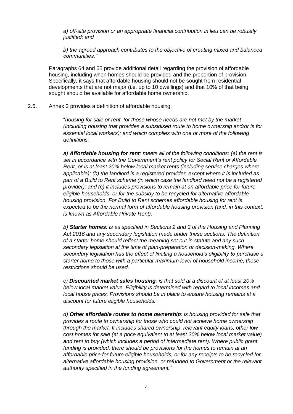*a) off-site provision or an appropriate financial contribution in lieu can be robustly justified; and*

*b) the agreed approach contributes to the objective of creating mixed and balanced communities."*

Paragraphs 64 and 65 provide additional detail regarding the provision of affordable housing, including when homes should be provided and the proportion of provision. Specifically, it says that affordable housing should not be sought from residential developments that are not major (i.e. up to 10 dwellings) and that 10% of that being sought should be available for affordable home ownership.

#### 2.5. Annex 2 provides a definition of affordable housing:

"*housing for sale or rent, for those whose needs are not met by the market (including housing that provides a subsidised route to home ownership and/or is for essential local workers); and which complies with one or more of the following definitions:*

*a) Affordable housing for rent: meets all of the following conditions: (a) the rent is set in accordance with the Government's rent policy for Social Rent or Affordable Rent, or is at least 20% below local market rents (including service charges where applicable); (b) the landlord is a registered provider, except where it is included as part of a Build to Rent scheme (in which case the landlord need not be a registered provider); and (c) it includes provisions to remain at an affordable price for future eligible households, or for the subsidy to be recycled for alternative affordable housing provision. For Build to Rent schemes affordable housing for rent is expected to be the normal form of affordable housing provision (and, in this context, is known as Affordable Private Rent).*

*b) Starter homes: is as specified in Sections 2 and 3 of the Housing and Planning Act 2016 and any secondary legislation made under these sections. The definition of a starter home should reflect the meaning set out in statute and any such secondary legislation at the time of plan-preparation or decision-making. Where secondary legislation has the effect of limiting a household's eligibility to purchase a starter home to those with a particular maximum level of household income, those restrictions should be used.*

*c) Discounted market sales housing: is that sold at a discount of at least 20% below local market value. Eligibility is determined with regard to local incomes and local house prices. Provisions should be in place to ensure housing remains at a discount for future eligible households.*

*d) Other affordable routes to home ownership: is housing provided for sale that provides a route to ownership for those who could not achieve home ownership through the market. It includes shared ownership, relevant equity loans, other low cost homes for sale (at a price equivalent to at least 20% below local market value)* and rent to buy (which includes a period of intermediate rent). Where public grant *funding is provided, there should be provisions for the homes to remain at an affordable price for future eligible households, or for any receipts to be recycled for alternative affordable housing provision, or refunded to Government or the relevant authority specified in the funding agreement."*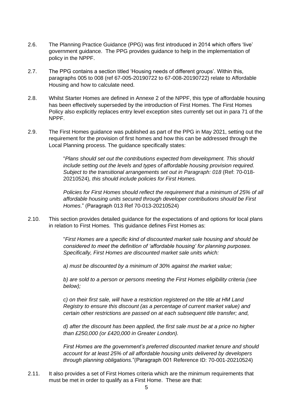- 2.6. The Planning Practice Guidance (PPG) was first introduced in 2014 which offers 'live' government guidance. The PPG provides guidance to help in the implementation of policy in the NPPF.
- 2.7. The PPG contains a section titled 'Housing needs of different groups'. Within this, paragraphs 005 to 008 (ref 67-005-20190722 to 67-008-20190722) relate to Affordable Housing and how to calculate need.
- 2.8. Whilst Starter Homes are defined in Annexe 2 of the NPPF, this type of affordable housing has been effectively superseded by the introduction of First Homes. The First Homes Policy also explicitly replaces entry level exception sites currently set out in para 71 of the NPPF.
- 2.9. The First Homes guidance was published as part of the PPG in May 2021, setting out the requirement for the provision of first homes and how this can be addressed through the Local Planning process. The guidance specifically states:

"*Plans should set out the contributions expected from development. This should include setting out the levels and types of affordable housing provision required. Subject to the transitional arrangements set out in Paragraph: 018* (Ref: 70-018- 20210524)*, this should include policies for First Homes.*

*Policies for First Homes should reflect the requirement that a minimum of 25% of all affordable housing units secured through developer contributions should be First Homes*." (Paragraph 013 Ref 70-013-20210524)

2.10. This section provides detailed guidance for the expectations of and options for local plans in relation to First Homes. This guidance defines First Homes as:

> "*First Homes are a specific kind of discounted market sale housing and should be considered to meet the definition of 'affordable housing' for planning purposes. Specifically, First Homes are discounted market sale units which:*

*a) must be discounted by a minimum of 30% against the market value;*

*b) are sold to a person or persons meeting the First Homes eligibility criteria (see below);*

*c) on their first sale, will have a restriction registered on the title at HM Land Registry to ensure this discount (as a percentage of current market value) and certain other restrictions are passed on at each subsequent title transfer; and,*

*d) after the discount has been applied, the first sale must be at a price no higher than £250,000 (or £420,000 in Greater London).*

*First Homes are the government's preferred discounted market tenure and should account for at least 25% of all affordable housing units delivered by developers through planning obligations.*"(Paragraph 001 Reference ID: 70-001-20210524)

2.11. It also provides a set of First Homes criteria which are the minimum requirements that must be met in order to qualify as a First Home. These are that: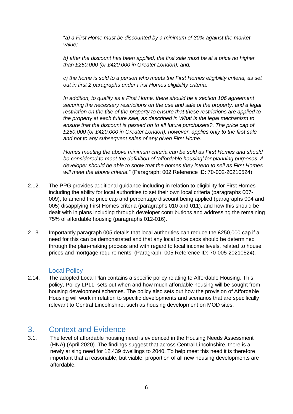"*a) a First Home must be discounted by a minimum of 30% against the market value;*

*b) after the discount has been applied, the first sale must be at a price no higher than £250,000 (or £420,000 in Greater London); and,*

*c) the home is sold to a person who meets the First Homes eligibility criteria, as set out in first 2 paragraphs under First Homes eligibility criteria.*

*In addition, to qualify as a First Home, there should be a section 106 agreement securing the necessary restrictions on the use and sale of the property, and a legal restriction on the title of the property to ensure that these restrictions are applied to the property at each future sale, as described in What is the legal mechanism to ensure that the discount is passed on to all future purchasers?. The price cap of £250,000 (or £420,000 in Greater London), however, applies only to the first sale and not to any subsequent sales of any given First Home.*

*Homes meeting the above minimum criteria can be sold as First Homes and should be considered to meet the definition of 'affordable housing' for planning purposes. A developer should be able to show that the homes they intend to sell as First Homes will meet the above criteria.*" (Paragraph: 002 Reference ID: 70-002-20210524)

- 2.12. The PPG provides additional guidance including in relation to eligibility for First Homes including the ability for local authorities to set their own local criteria (paragraphs 007- 009), to amend the price cap and percentage discount being applied (paragraphs 004 and 005) disapplying First Homes criteria (paragraphs 010 and 011), and how this should be dealt with in plans including through developer contributions and addressing the remaining 75% of affordable housing (paragraphs 012-016).
- 2.13. Importantly paragraph 005 details that local authorities can reduce the £250,000 cap if a need for this can be demonstrated and that any local price caps should be determined through the plan-making process and with regard to local income levels, related to house prices and mortgage requirements. (Paragraph: 005 Reference ID: 70-005-20210524).

#### Local Policy

<span id="page-5-0"></span>2.14. The adopted Local Plan contains a specific policy relating to Affordable Housing. This policy, Policy LP11, sets out when and how much affordable housing will be sought from housing development schemes. The policy also sets out how the provision of Affordable Housing will work in relation to specific developments and scenarios that are specifically relevant to Central Lincolnshire, such as housing development on MOD sites.

## <span id="page-5-1"></span>3. Context and Evidence

3.1. The level of affordable housing need is evidenced in the Housing Needs Assessment (HNA) (April 2020). The findings suggest that across Central Lincolnshire, there is a newly arising need for 12,439 dwellings to 2040. To help meet this need it is therefore important that a reasonable, but viable, proportion of all new housing developments are affordable.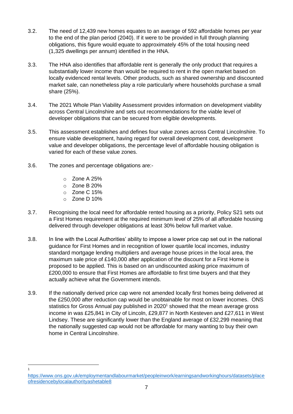- 3.2. The need of 12,439 new homes equates to an average of 592 affordable homes per year to the end of the plan period (2040). If it were to be provided in full through planning obligations, this figure would equate to approximately 45% of the total housing need (1,325 dwellings per annum) identified in the HNA.
- 3.3. The HNA also identifies that affordable rent is generally the only product that requires a substantially lower income than would be required to rent in the open market based on locally evidenced rental levels. Other products, such as shared ownership and discounted market sale, can nonetheless play a role particularly where households purchase a small share (25%).
- 3.4. The 2021 Whole Plan Viability Assessment provides information on development viability across Central Lincolnshire and sets out recommendations for the viable level of developer obligations that can be secured from eligible developments.
- 3.5. This assessment establishes and defines four value zones across Central Lincolnshire. To ensure viable development, having regard for overall development cost, development value and developer obligations, the percentage level of affordable housing obligation is varied for each of these value zones.
- 3.6. The zones and percentage obligations are:
	- o Zone A 25%
	- $\circ$  Zone B 20%
	- o Zone C 15%
	- $\circ$  Zone D 10%

1

- 3.7. Recognising the local need for affordable rented housing as a priority, Policy S21 sets out a First Homes requirement at the required minimum level of 25% of all affordable housing delivered through developer obligations at least 30% below full market value.
- 3.8. In line with the Local Authorities' ability to impose a lower price cap set out in the national guidance for First Homes and in recognition of lower quartile local incomes, industry standard mortgage lending multipliers and average house prices in the local area, the maximum sale price of £140,000 after application of the discount for a First Home is proposed to be applied. This is based on an undiscounted asking price maximum of £200,000 to ensure that First Homes are affordable to first time buyers and that they actually achieve what the Government intends.
- 3.9. If the nationally derived price cap were not amended locally first homes being delivered at the £250,000 after reduction cap would be unobtainable for most on lower incomes. ONS statistics for Gross Annual pay published in 2020<sup>1</sup> showed that the mean average gross income in was £25,841 in City of Lincoln, £29,877 in North Kesteven and £27,611 in West Lindsey. These are significantly lower than the England average of £32,299 meaning that the nationally suggested cap would not be affordable for many wanting to buy their own home in Central Lincolnshire.

[https://www.ons.gov.uk/employmentandlabourmarket/peopleinwork/earningsandworkinghours/datasets/place](https://www.ons.gov.uk/employmentandlabourmarket/peopleinwork/earningsandworkinghours/datasets/placeofresidencebylocalauthorityashetable8) [ofresidencebylocalauthorityashetable8](https://www.ons.gov.uk/employmentandlabourmarket/peopleinwork/earningsandworkinghours/datasets/placeofresidencebylocalauthorityashetable8)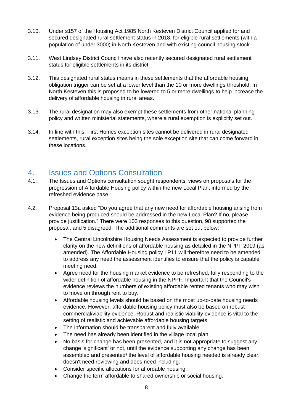- 3.10. Under s157 of the Housing Act 1985 North Kesteven District Council applied for and secured designated rural settlement status in 2018, for eligible rural settlements (with a population of under 3000) in North Kesteven and with existing council housing stock.
- 3.11. West Lindsey District Council have also recently secured designated rural settlement status for eligible settlements in its district.
- 3.12. This designated rural status means in these settlements that the affordable housing obligation trigger can be set at a lower level than the 10 or more dwellings threshold. In North Kesteven this is proposed to be lowered to 5 or more dwellings to help increase the delivery of affordable housing in rural areas.
- 3.13. The rural designation may also exempt these settlements from other national planning policy and written ministerial statements, where a rural exemption is explicitly set out.
- 3.14. In line with this, First Homes exception sites cannot be delivered in rural designated settlements, rural exception sites being the sole exception site that can come forward in these locations.

# <span id="page-7-0"></span>4. Issues and Options Consultation

- 4.1. The Issues and Options consultation sought respondents' views on proposals for the progression of Affordable Housing policy within the new Local Plan, informed by the refreshed evidence base.
- 4.2. Proposal 13a asked "Do you agree that any new need for affordable housing arising from evidence being produced should be addressed in the new Local Plan? If no, please provide justification." There were 103 responses to this question, 98 supported the proposal, and 5 disagreed. The additional comments are set out below:
	- The Central Lincolnshire Housing Needs Assessment is expected to provide further clarity on the new definitions of affordable housing as detailed in the NPPF 2019 (as amended). The Affordable Housing policy LP11 will therefore need to be amended to address any need the assessment identifies to ensure that the policy is capable meeting need.
	- Agree need for the housing market evidence to be refreshed, fully responding to the wider definition of affordable housing in the NPPF. Important that the Council's evidence reviews the numbers of existing affordable rented tenants who may wish to move on through rent to buy.
	- Affordable housing levels should be based on the most up-to-date housing needs evidence. However, affordable housing policy must also be based on robust commercial/viability evidence. Robust and realistic viability evidence is vital to the setting of realistic and achievable affordable housing targets.
	- The information should be transparent and fully available.
	- The need has already been identified in the village local plan.
	- No basis for change has been presented, and it is not appropriate to suggest any change 'significant' or not, until the evidence supporting any change has been assembled and presented/ the level of affordable housing needed is already clear, doesn't need reviewing and does need including.
	- Consider specific allocations for affordable housing.
	- Change the term affordable to shared ownership or social housing.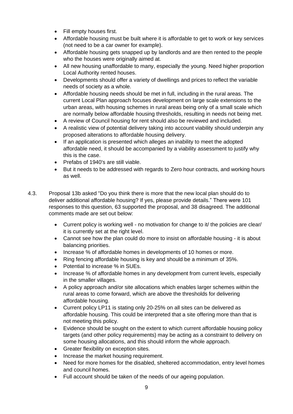- Fill empty houses first.
- Affordable housing must be built where it is affordable to get to work or key services (not need to be a car owner for example).
- Affordable housing gets snapped up by landlords and are then rented to the people who the houses were originally aimed at.
- All new housing unaffordable to many, especially the young. Need higher proportion Local Authority rented houses.
- Developments should offer a variety of dwellings and prices to reflect the variable needs of society as a whole.
- Affordable housing needs should be met in full, including in the rural areas. The current Local Plan approach focuses development on large scale extensions to the urban areas, with housing schemes in rural areas being only of a small scale which are normally below affordable housing thresholds, resulting in needs not being met.
- A review of Council housing for rent should also be reviewed and included.
- A realistic view of potential delivery taking into account viability should underpin any proposed alterations to affordable housing delivery.
- If an application is presented which alleges an inability to meet the adopted affordable need, it should be accompanied by a viability assessment to justify why this is the case.
- Prefabs of 1940's are still viable.
- But it needs to be addressed with regards to Zero hour contracts, and working hours as well.
- 4.3. Proposal 13b asked "Do you think there is more that the new local plan should do to deliver additional affordable housing? If yes, please provide details." There were 101 responses to this question, 63 supported the proposal, and 38 disagreed. The additional comments made are set out below:
	- Current policy is working well no motivation for change to it/ the policies are clear/ it is currently set at the right level.
	- Cannot see how the plan could do more to insist on affordable housing it is about balancing priorities.
	- Increase % of affordable homes in developments of 10 homes or more.
	- Ring fencing affordable housing is key and should be a minimum of 35%.
	- Potential to increase % in SUEs.
	- Increase % of affordable homes in any development from current levels, especially in the smaller villages.
	- A policy approach and/or site allocations which enables larger schemes within the rural areas to come forward, which are above the thresholds for delivering affordable housing.
	- Current policy LP11 is stating only 20-25% on all sites can be delivered as affordable housing. This could be interpreted that a site offering more than that is not meeting this policy.
	- Evidence should be sought on the extent to which current affordable housing policy targets (and other policy requirements) may be acting as a constraint to delivery on some housing allocations, and this should inform the whole approach.
	- Greater flexibility on exception sites.
	- Increase the market housing requirement.
	- Need for more homes for the disabled, sheltered accommodation, entry level homes and council homes.
	- Full account should be taken of the needs of our ageing population.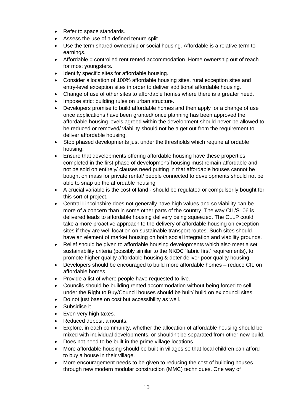- Refer to space standards.
- Assess the use of a defined tenure split.
- Use the term shared ownership or social housing. Affordable is a relative term to earnings.
- Affordable = controlled rent rented accommodation. Home ownership out of reach for most youngsters.
- Identify specific sites for affordable housing.
- Consider allocation of 100% affordable housing sites, rural exception sites and entry-level exception sites in order to deliver additional affordable housing.
- Change of use of other sites to affordable homes where there is a greater need.
- Impose strict building rules on urban structure.
- Developers promise to build affordable homes and then apply for a change of use once applications have been granted/ once planning has been approved the affordable housing levels agreed within the development should never be allowed to be reduced or removed/ viability should not be a get out from the requirement to deliver affordable housing.
- Stop phased developments just under the thresholds which require affordable housing.
- Ensure that developments offering affordable housing have these properties completed in the first phase of development/ housing must remain affordable and not be sold on entirely/ clauses need putting in that affordable houses cannot be bought on mass for private rental/ people connected to developments should not be able to snap up the affordable housing
- A crucial variable is the cost of land should be regulated or compulsorily bought for this sort of project.
- Central Lincolnshire does not generally have high values and so viability can be more of a concern than in some other parts of the country. The way CIL/S106 is delivered leads to affordable housing delivery being squeezed. The CLLP could take a more proactive approach to the delivery of affordable housing on exception sites if they are well location on sustainable transport routes. Such sites should have an element of market housing on both social integration and viability grounds.
- Relief should be given to affordable housing developments which also meet a set sustainability criteria (possibly similar to the NKDC 'fabric first' requirements), to promote higher quality affordable housing & deter deliver poor quality housing.
- Developers should be encouraged to build more affordable homes reduce CIL on affordable homes.
- Provide a list of where people have requested to live.
- Councils should be building rented accommodation without being forced to sell under the Right to Buy/Council houses should be built/ build on ex council sites.
- Do not just base on cost but accessibility as well.
- Subsidise it
- Even very high taxes.
- Reduced deposit amounts.
- Explore, in each community, whether the allocation of affordable housing should be mixed with individual developments, or shouldn't be separated from other new-build.
- Does not need to be built in the prime village locations.
- More affordable housing should be built in villages so that local children can afford to buy a house in their village.
- More encouragement needs to be given to reducing the cost of building houses through new modern modular construction (MMC) techniques. One way of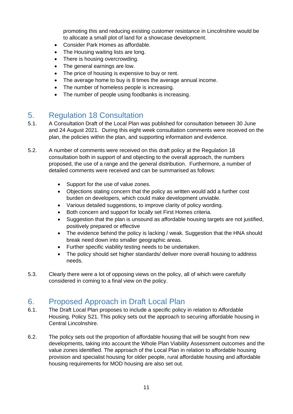promoting this and reducing existing customer resistance in Lincolnshire would be to allocate a small plot of land for a showcase development.

- Consider Park Homes as affordable.
- The Housing waiting lists are long.
- There is housing overcrowding.
- The general earnings are low.
- The price of housing is expensive to buy or rent.
- The average home to buy is 8 times the average annual income.
- The number of homeless people is increasing.
- The number of people using foodbanks is increasing.

# <span id="page-10-0"></span>5. Regulation 18 Consultation

- 5.1. A Consultation Draft of the Local Plan was published for consultation between 30 June and 24 August 2021. During this eight week consultation comments were received on the plan, the policies within the plan, and supporting information and evidence.
- 5.2. A number of comments were received on this draft policy at the Regulation 18 consultation both in support of and objecting to the overall approach, the numbers proposed, the use of a range and the general distribution. Furthermore, a number of detailed comments were received and can be summarised as follows:
	- Support for the use of value zones.
	- Objections stating concern that the policy as written would add a further cost burden on developers, which could make development unviable.
	- Various detailed suggestions, to improve clarity of policy wording.
	- Both concern and support for locally set First Homes criteria.
	- Suggestion that the plan is unsound as affordable housing targets are not justified, positively prepared or effective
	- The evidence behind the policy is lacking / weak. Suggestion that the HNA should break need down into smaller geographic areas.
	- Further specific viability testing needs to be undertaken.
	- The policy should set higher standards/ deliver more overall housing to address needs.
- 5.3. Clearly there were a lot of opposing views on the policy, all of which were carefully considered in coming to a final view on the policy.

# <span id="page-10-1"></span>6. Proposed Approach in Draft Local Plan

- 6.1. The Draft Local Plan proposes to include a specific policy in relation to Affordable Housing, Policy S21. This policy sets out the approach to securing affordable housing in Central Lincolnshire.
- 6.2. The policy sets out the proportion of affordable housing that will be sought from new developments, taking into account the Whole Plan Viability Assessment outcomes and the value zones identified. The approach of the Local Plan in relation to affordable housing provision and specialist housing for older people, rural affordable housing and affordable housing requirements for MOD housing are also set out.